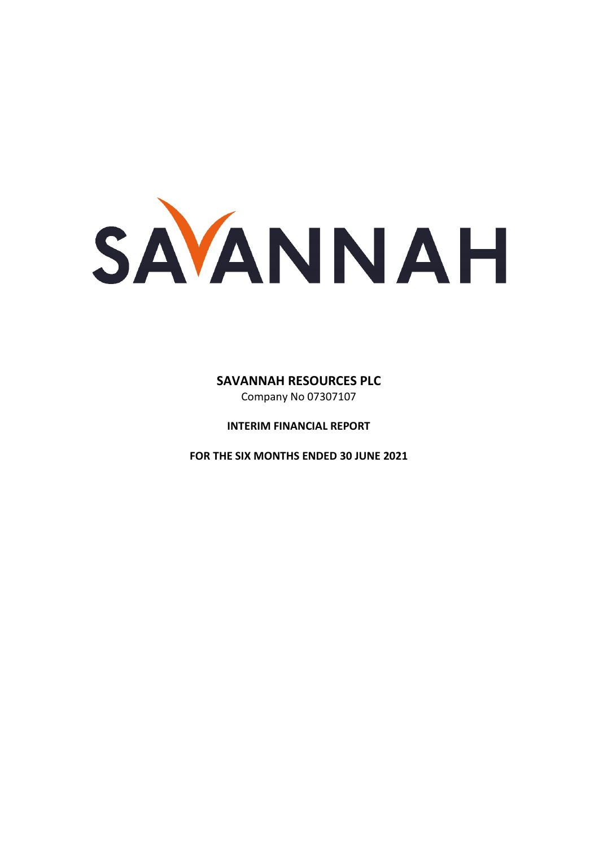SAVANNAH

# **SAVANNAH RESOURCES PLC**

Company No 07307107

**INTERIM FINANCIAL REPORT** 

**FOR THE SIX MONTHS ENDED 30 JUNE 2021**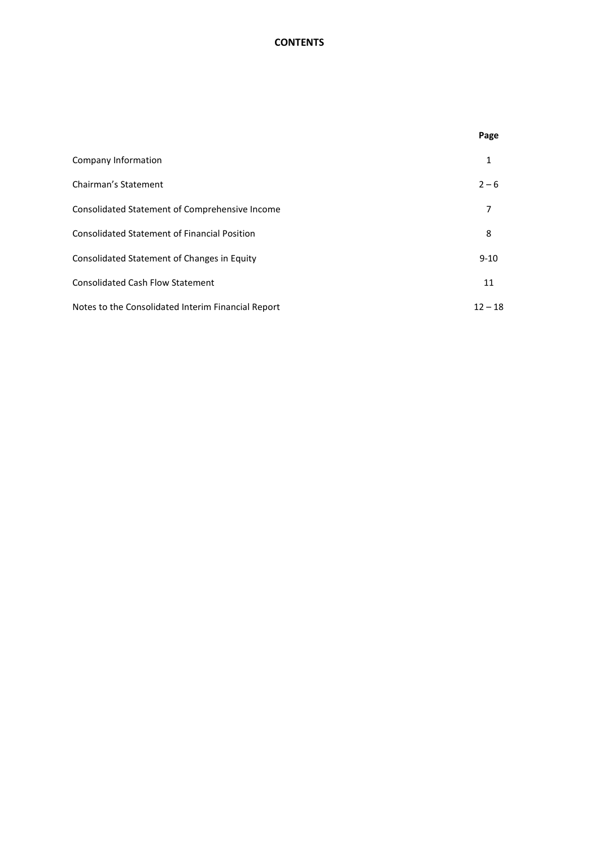# **CONTENTS**

|                                                     | Page      |
|-----------------------------------------------------|-----------|
| Company Information                                 | 1         |
| Chairman's Statement                                | $2 - 6$   |
| Consolidated Statement of Comprehensive Income      | 7         |
| <b>Consolidated Statement of Financial Position</b> | 8         |
| Consolidated Statement of Changes in Equity         | $9 - 10$  |
| <b>Consolidated Cash Flow Statement</b>             | 11        |
| Notes to the Consolidated Interim Financial Report  | $12 - 18$ |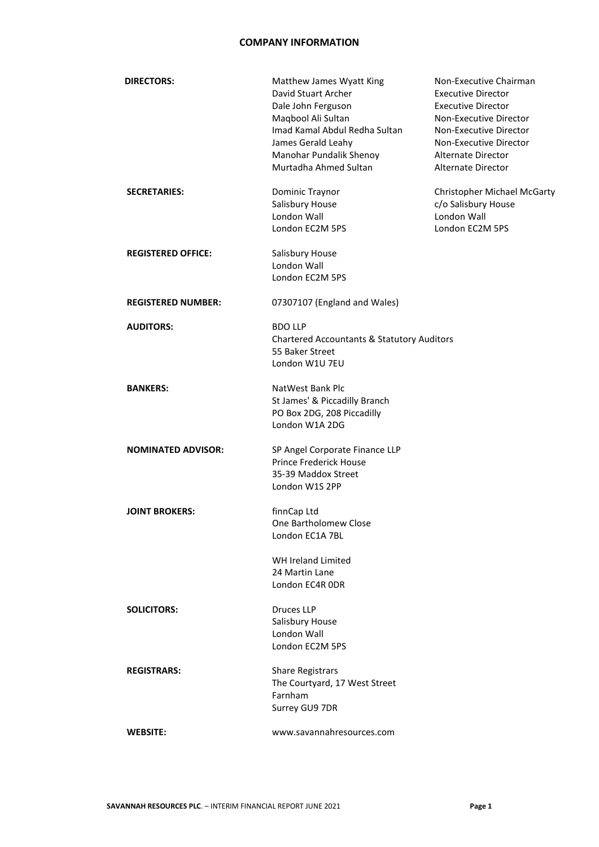### **COMPANY INFORMATION**

| <b>DIRECTORS:</b>         | Matthew James Wyatt King<br>David Stuart Archer<br>Dale John Ferguson<br>Maqbool Ali Sultan<br>Imad Kamal Abdul Redha Sultan<br>James Gerald Leahy<br>Manohar Pundalik Shenoy<br>Murtadha Ahmed Sultan | Non-Executive Chairman<br><b>Executive Director</b><br><b>Executive Director</b><br>Non-Executive Director<br>Non-Executive Director<br>Non-Executive Director<br>Alternate Director<br>Alternate Director |
|---------------------------|--------------------------------------------------------------------------------------------------------------------------------------------------------------------------------------------------------|------------------------------------------------------------------------------------------------------------------------------------------------------------------------------------------------------------|
| <b>SECRETARIES:</b>       | Dominic Traynor<br>Salisbury House<br>London Wall<br>London EC2M 5PS                                                                                                                                   | Christopher Michael McGarty<br>c/o Salisbury House<br>London Wall<br>London EC2M 5PS                                                                                                                       |
| <b>REGISTERED OFFICE:</b> | Salisbury House<br>London Wall<br>London EC2M 5PS                                                                                                                                                      |                                                                                                                                                                                                            |
| <b>REGISTERED NUMBER:</b> | 07307107 (England and Wales)                                                                                                                                                                           |                                                                                                                                                                                                            |
| <b>AUDITORS:</b>          | <b>BDO LLP</b><br><b>Chartered Accountants &amp; Statutory Auditors</b><br>55 Baker Street<br>London W1U 7EU                                                                                           |                                                                                                                                                                                                            |
| <b>BANKERS:</b>           | NatWest Bank Plc<br>St James' & Piccadilly Branch<br>PO Box 2DG, 208 Piccadilly<br>London W1A 2DG                                                                                                      |                                                                                                                                                                                                            |
| <b>NOMINATED ADVISOR:</b> | SP Angel Corporate Finance LLP<br><b>Prince Frederick House</b><br>35-39 Maddox Street<br>London W1S 2PP                                                                                               |                                                                                                                                                                                                            |
| <b>JOINT BROKERS:</b>     | finnCap Ltd<br>One Bartholomew Close<br>London EC1A 7BL                                                                                                                                                |                                                                                                                                                                                                            |
|                           | WH Ireland Limited<br>24 Martin Lane<br>London EC4R ODR                                                                                                                                                |                                                                                                                                                                                                            |
| <b>SOLICITORS:</b>        | Druces LLP<br>Salisbury House<br>London Wall<br>London EC2M 5PS                                                                                                                                        |                                                                                                                                                                                                            |
| <b>REGISTRARS:</b>        | <b>Share Registrars</b><br>The Courtyard, 17 West Street<br>Farnham<br>Surrey GU9 7DR                                                                                                                  |                                                                                                                                                                                                            |
| <b>WEBSITE:</b>           | www.savannahresources.com                                                                                                                                                                              |                                                                                                                                                                                                            |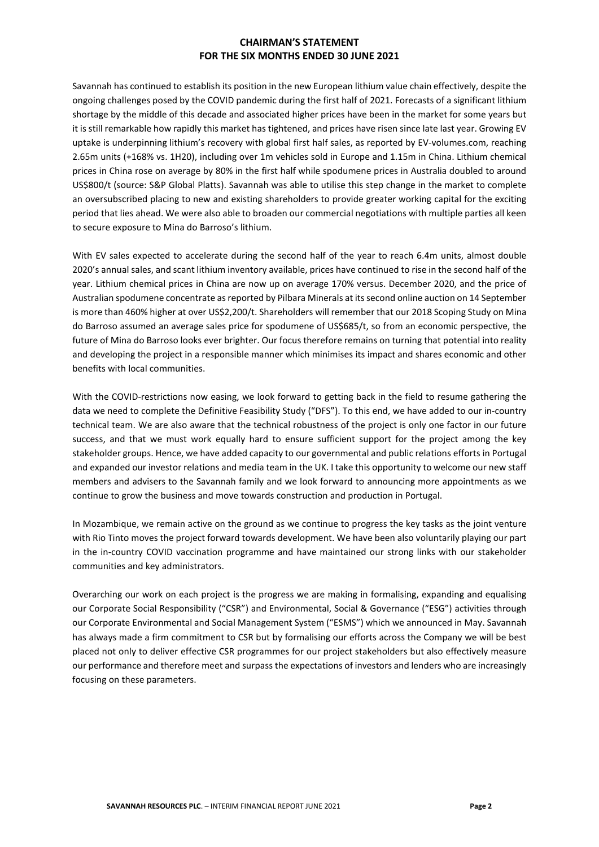Savannah has continued to establish its position in the new European lithium value chain effectively, despite the ongoing challenges posed by the COVID pandemic during the first half of 2021. Forecasts of a significant lithium shortage by the middle of this decade and associated higher prices have been in the market for some years but it is still remarkable how rapidly this market has tightened, and prices have risen since late last year. Growing EV uptake is underpinning lithium's recovery with global first half sales, as reported by EV-volumes.com, reaching 2.65m units (+168% vs. 1H20), including over 1m vehicles sold in Europe and 1.15m in China. Lithium chemical prices in China rose on average by 80% in the first half while spodumene prices in Australia doubled to around US\$800/t (source: S&P Global Platts). Savannah was able to utilise this step change in the market to complete an oversubscribed placing to new and existing shareholders to provide greater working capital for the exciting period that lies ahead. We were also able to broaden our commercial negotiations with multiple parties all keen to secure exposure to Mina do Barroso's lithium.

With EV sales expected to accelerate during the second half of the year to reach 6.4m units, almost double 2020's annual sales, and scant lithium inventory available, prices have continued to rise in the second half of the year. Lithium chemical prices in China are now up on average 170% versus. December 2020, and the price of Australian spodumene concentrate as reported by Pilbara Minerals at its second online auction on 14 September is more than 460% higher at over US\$2,200/t. Shareholders will remember that our 2018 Scoping Study on Mina do Barroso assumed an average sales price for spodumene of US\$685/t, so from an economic perspective, the future of Mina do Barroso looks ever brighter. Our focus therefore remains on turning that potential into reality and developing the project in a responsible manner which minimises its impact and shares economic and other benefits with local communities.

With the COVID-restrictions now easing, we look forward to getting back in the field to resume gathering the data we need to complete the Definitive Feasibility Study ("DFS"). To this end, we have added to our in-country technical team. We are also aware that the technical robustness of the project is only one factor in our future success, and that we must work equally hard to ensure sufficient support for the project among the key stakeholder groups. Hence, we have added capacity to our governmental and public relations efforts in Portugal and expanded our investor relations and media team in the UK. I take this opportunity to welcome our new staff members and advisers to the Savannah family and we look forward to announcing more appointments as we continue to grow the business and move towards construction and production in Portugal.

In Mozambique, we remain active on the ground as we continue to progress the key tasks as the joint venture with Rio Tinto moves the project forward towards development. We have been also voluntarily playing our part in the in-country COVID vaccination programme and have maintained our strong links with our stakeholder communities and key administrators.

Overarching our work on each project is the progress we are making in formalising, expanding and equalising our Corporate Social Responsibility ("CSR") and Environmental, Social & Governance ("ESG") activities through our Corporate Environmental and Social Management System ("ESMS") which we announced in May. Savannah has always made a firm commitment to CSR but by formalising our efforts across the Company we will be best placed not only to deliver effective CSR programmes for our project stakeholders but also effectively measure our performance and therefore meet and surpass the expectations of investors and lenders who are increasingly focusing on these parameters.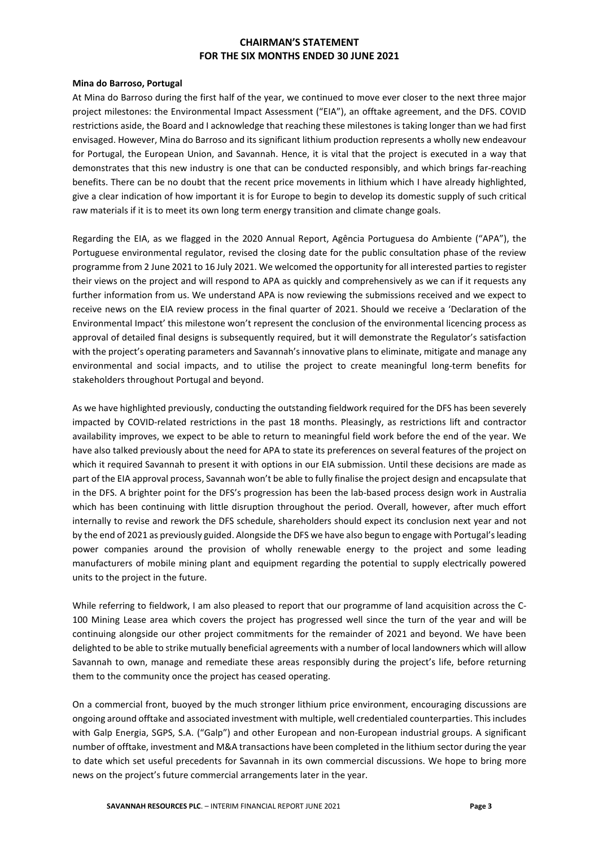#### **Mina do Barroso, Portugal**

At Mina do Barroso during the first half of the year, we continued to move ever closer to the next three major project milestones: the Environmental Impact Assessment ("EIA"), an offtake agreement, and the DFS. COVID restrictions aside, the Board and I acknowledge that reaching these milestones is taking longer than we had first envisaged. However, Mina do Barroso and its significant lithium production represents a wholly new endeavour for Portugal, the European Union, and Savannah. Hence, it is vital that the project is executed in a way that demonstrates that this new industry is one that can be conducted responsibly, and which brings far-reaching benefits. There can be no doubt that the recent price movements in lithium which I have already highlighted, give a clear indication of how important it is for Europe to begin to develop its domestic supply of such critical raw materials if it is to meet its own long term energy transition and climate change goals.

Regarding the EIA, as we flagged in the 2020 Annual Report, Agência Portuguesa do Ambiente ("APA"), the Portuguese environmental regulator, revised the closing date for the public consultation phase of the review programme from 2 June 2021 to 16 July 2021. We welcomed the opportunity for all interested parties to register their views on the project and will respond to APA as quickly and comprehensively as we can if it requests any further information from us. We understand APA is now reviewing the submissions received and we expect to receive news on the EIA review process in the final quarter of 2021. Should we receive a 'Declaration of the Environmental Impact' this milestone won't represent the conclusion of the environmental licencing process as approval of detailed final designs is subsequently required, but it will demonstrate the Regulator's satisfaction with the project's operating parameters and Savannah's innovative plans to eliminate, mitigate and manage any environmental and social impacts, and to utilise the project to create meaningful long-term benefits for stakeholders throughout Portugal and beyond.

As we have highlighted previously, conducting the outstanding fieldwork required for the DFS has been severely impacted by COVID-related restrictions in the past 18 months. Pleasingly, as restrictions lift and contractor availability improves, we expect to be able to return to meaningful field work before the end of the year. We have also talked previously about the need for APA to state its preferences on several features of the project on which it required Savannah to present it with options in our EIA submission. Until these decisions are made as part of the EIA approval process, Savannah won't be able to fully finalise the project design and encapsulate that in the DFS. A brighter point for the DFS's progression has been the lab-based process design work in Australia which has been continuing with little disruption throughout the period. Overall, however, after much effort internally to revise and rework the DFS schedule, shareholders should expect its conclusion next year and not by the end of 2021 as previously guided. Alongside the DFS we have also begun to engage with Portugal's leading power companies around the provision of wholly renewable energy to the project and some leading manufacturers of mobile mining plant and equipment regarding the potential to supply electrically powered units to the project in the future.

While referring to fieldwork, I am also pleased to report that our programme of land acquisition across the C-100 Mining Lease area which covers the project has progressed well since the turn of the year and will be continuing alongside our other project commitments for the remainder of 2021 and beyond. We have been delighted to be able to strike mutually beneficial agreements with a number of local landowners which will allow Savannah to own, manage and remediate these areas responsibly during the project's life, before returning them to the community once the project has ceased operating.

On a commercial front, buoyed by the much stronger lithium price environment, encouraging discussions are ongoing around offtake and associated investment with multiple, well credentialed counterparties. This includes with Galp Energia, SGPS, S.A. ("Galp") and other European and non-European industrial groups. A significant number of offtake, investment and M&A transactions have been completed in the lithium sector during the year to date which set useful precedents for Savannah in its own commercial discussions. We hope to bring more news on the project's future commercial arrangements later in the year.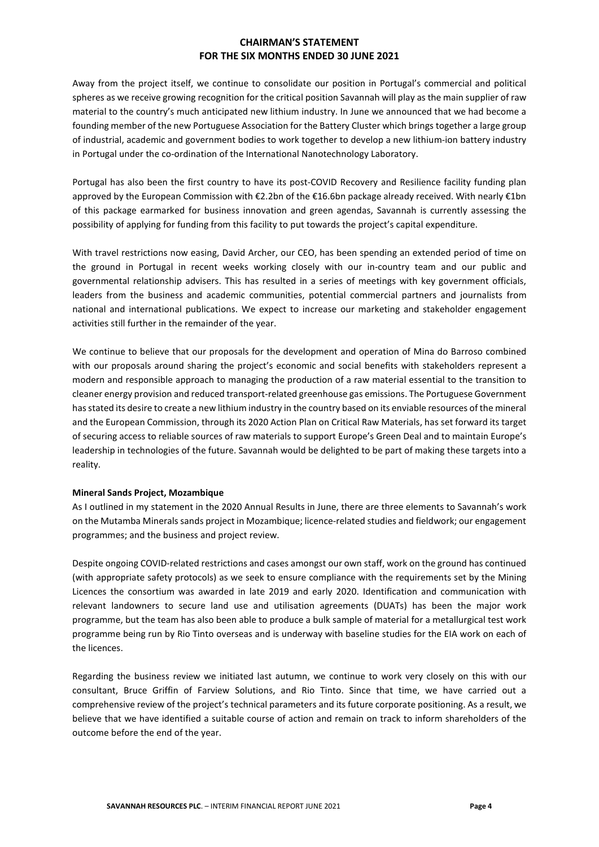Away from the project itself, we continue to consolidate our position in Portugal's commercial and political spheres as we receive growing recognition for the critical position Savannah will play as the main supplier of raw material to the country's much anticipated new lithium industry. In June we announced that we had become a founding member of the new Portuguese Association for the Battery Cluster which brings together a large group of industrial, academic and government bodies to work together to develop a new lithium-ion battery industry in Portugal under the co-ordination of the International Nanotechnology Laboratory.

Portugal has also been the first country to have its post-COVID Recovery and Resilience facility funding plan approved by the European Commission with €2.2bn of the €16.6bn package already received. With nearly €1bn of this package earmarked for business innovation and green agendas, Savannah is currently assessing the possibility of applying for funding from this facility to put towards the project's capital expenditure.

With travel restrictions now easing, David Archer, our CEO, has been spending an extended period of time on the ground in Portugal in recent weeks working closely with our in-country team and our public and governmental relationship advisers. This has resulted in a series of meetings with key government officials, leaders from the business and academic communities, potential commercial partners and journalists from national and international publications. We expect to increase our marketing and stakeholder engagement activities still further in the remainder of the year.

We continue to believe that our proposals for the development and operation of Mina do Barroso combined with our proposals around sharing the project's economic and social benefits with stakeholders represent a modern and responsible approach to managing the production of a raw material essential to the transition to cleaner energy provision and reduced transport-related greenhouse gas emissions. The Portuguese Government has stated its desire to create a new lithium industry in the country based on its enviable resources of the mineral and the European Commission, through its 2020 Action Plan on Critical Raw Materials, has set forward its target of securing access to reliable sources of raw materials to support Europe's Green Deal and to maintain Europe's leadership in technologies of the future. Savannah would be delighted to be part of making these targets into a reality.

#### **Mineral Sands Project, Mozambique**

As I outlined in my statement in the 2020 Annual Results in June, there are three elements to Savannah's work on the Mutamba Minerals sands project in Mozambique; licence-related studies and fieldwork; our engagement programmes; and the business and project review.

Despite ongoing COVID-related restrictions and cases amongst our own staff, work on the ground has continued (with appropriate safety protocols) as we seek to ensure compliance with the requirements set by the Mining Licences the consortium was awarded in late 2019 and early 2020. Identification and communication with relevant landowners to secure land use and utilisation agreements (DUATs) has been the major work programme, but the team has also been able to produce a bulk sample of material for a metallurgical test work programme being run by Rio Tinto overseas and is underway with baseline studies for the EIA work on each of the licences.

Regarding the business review we initiated last autumn, we continue to work very closely on this with our consultant, Bruce Griffin of Farview Solutions, and Rio Tinto. Since that time, we have carried out a comprehensive review of the project's technical parameters and its future corporate positioning. As a result, we believe that we have identified a suitable course of action and remain on track to inform shareholders of the outcome before the end of the year.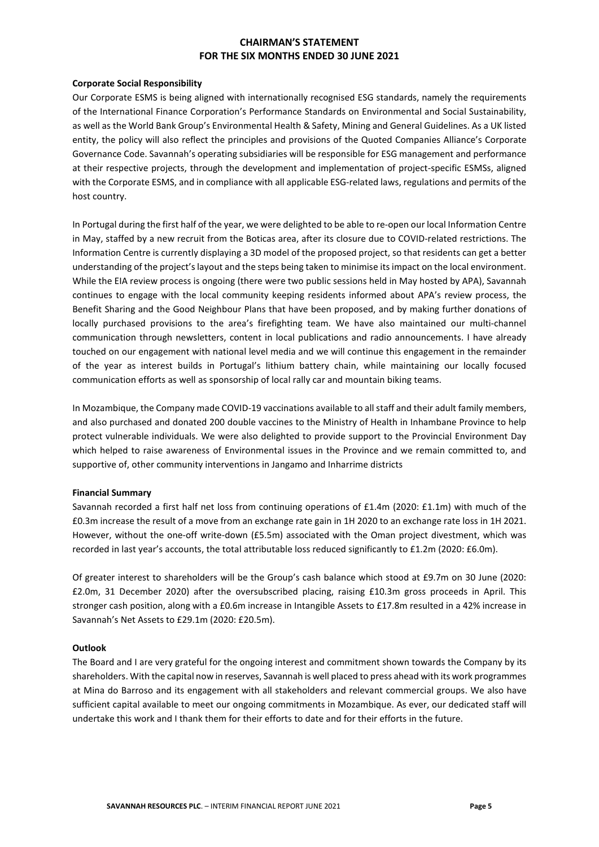#### **Corporate Social Responsibility**

Our Corporate ESMS is being aligned with internationally recognised ESG standards, namely the requirements of the International Finance Corporation's Performance Standards on Environmental and Social Sustainability, as well as the World Bank Group's Environmental Health & Safety, Mining and General Guidelines. As a UK listed entity, the policy will also reflect the principles and provisions of the Quoted Companies Alliance's Corporate Governance Code. Savannah's operating subsidiaries will be responsible for ESG management and performance at their respective projects, through the development and implementation of project-specific ESMSs, aligned with the Corporate ESMS, and in compliance with all applicable ESG-related laws, regulations and permits of the host country.

In Portugal during the first half of the year, we were delighted to be able to re-open our local Information Centre in May, staffed by a new recruit from the Boticas area, after its closure due to COVID-related restrictions. The Information Centre is currently displaying a 3D model of the proposed project, so that residents can get a better understanding of the project's layout and the steps being taken to minimise its impact on the local environment. While the EIA review process is ongoing (there were two public sessions held in May hosted by APA), Savannah continues to engage with the local community keeping residents informed about APA's review process, the Benefit Sharing and the Good Neighbour Plans that have been proposed, and by making further donations of locally purchased provisions to the area's firefighting team. We have also maintained our multi-channel communication through newsletters, content in local publications and radio announcements. I have already touched on our engagement with national level media and we will continue this engagement in the remainder of the year as interest builds in Portugal's lithium battery chain, while maintaining our locally focused communication efforts as well as sponsorship of local rally car and mountain biking teams.

In Mozambique, the Company made COVID-19 vaccinations available to all staff and their adult family members, and also purchased and donated 200 double vaccines to the Ministry of Health in Inhambane Province to help protect vulnerable individuals. We were also delighted to provide support to the Provincial Environment Day which helped to raise awareness of Environmental issues in the Province and we remain committed to, and supportive of, other community interventions in Jangamo and Inharrime districts

#### **Financial Summary**

Savannah recorded a first half net loss from continuing operations of £1.4m (2020: £1.1m) with much of the £0.3m increase the result of a move from an exchange rate gain in 1H 2020 to an exchange rate loss in 1H 2021. However, without the one-off write-down (£5.5m) associated with the Oman project divestment, which was recorded in last year's accounts, the total attributable loss reduced significantly to £1.2m (2020: £6.0m).

Of greater interest to shareholders will be the Group's cash balance which stood at £9.7m on 30 June (2020: £2.0m, 31 December 2020) after the oversubscribed placing, raising £10.3m gross proceeds in April. This stronger cash position, along with a £0.6m increase in Intangible Assets to £17.8m resulted in a 42% increase in Savannah's Net Assets to £29.1m (2020: £20.5m).

#### **Outlook**

The Board and I are very grateful for the ongoing interest and commitment shown towards the Company by its shareholders. With the capital now in reserves, Savannah is well placed to press ahead with its work programmes at Mina do Barroso and its engagement with all stakeholders and relevant commercial groups. We also have sufficient capital available to meet our ongoing commitments in Mozambique. As ever, our dedicated staff will undertake this work and I thank them for their efforts to date and for their efforts in the future.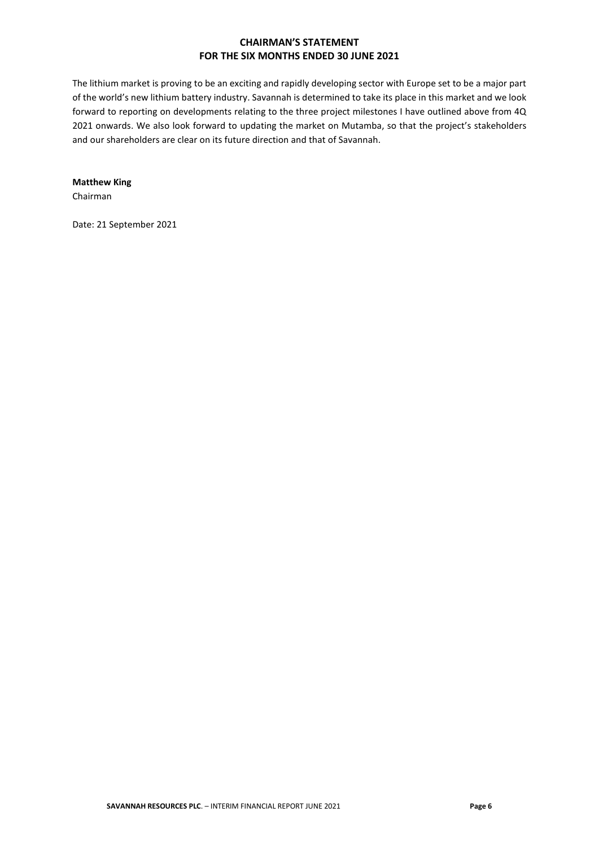The lithium market is proving to be an exciting and rapidly developing sector with Europe set to be a major part of the world's new lithium battery industry. Savannah is determined to take its place in this market and we look forward to reporting on developments relating to the three project milestones I have outlined above from 4Q 2021 onwards. We also look forward to updating the market on Mutamba, so that the project's stakeholders and our shareholders are clear on its future direction and that of Savannah.

# **Matthew King**

Chairman

Date: 21 September 2021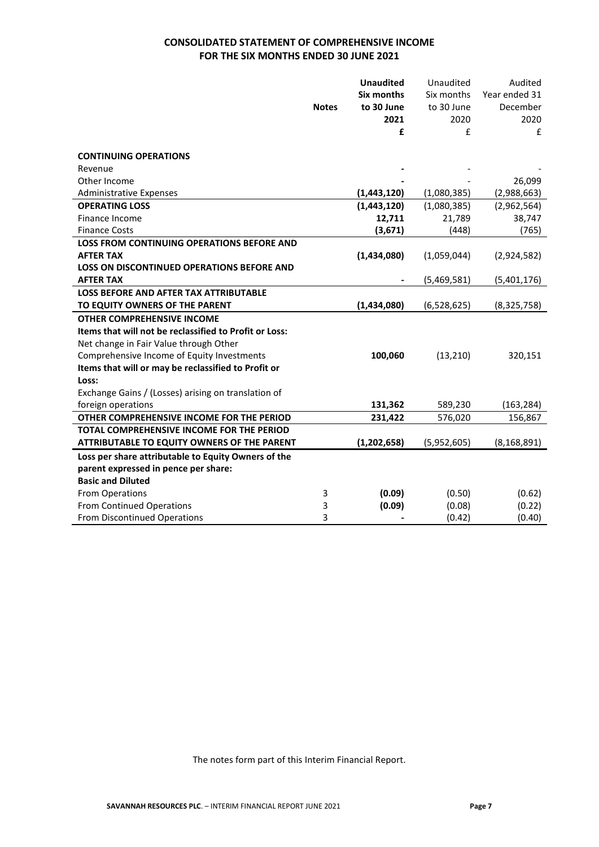# **CONSOLIDATED STATEMENT OF COMPREHENSIVE INCOME FOR THE SIX MONTHS ENDED 30 JUNE 2021**

|                                                        |              | <b>Unaudited</b> | Unaudited   | Audited       |
|--------------------------------------------------------|--------------|------------------|-------------|---------------|
|                                                        |              | Six months       | Six months  | Year ended 31 |
|                                                        | <b>Notes</b> | to 30 June       | to 30 June  | December      |
|                                                        |              | 2021             | 2020        | 2020          |
|                                                        |              | £                | £           | £             |
|                                                        |              |                  |             |               |
| <b>CONTINUING OPERATIONS</b>                           |              |                  |             |               |
| Revenue                                                |              |                  |             |               |
| Other Income                                           |              |                  |             | 26,099        |
| <b>Administrative Expenses</b>                         |              | (1,443,120)      | (1,080,385) | (2,988,663)   |
| <b>OPERATING LOSS</b>                                  |              | (1,443,120)      | (1,080,385) | (2,962,564)   |
| Finance Income                                         |              | 12,711           | 21,789      | 38,747        |
| <b>Finance Costs</b>                                   |              | (3,671)          | (448)       | (765)         |
| LOSS FROM CONTINUING OPERATIONS BEFORE AND             |              |                  |             |               |
| <b>AFTER TAX</b>                                       |              | (1,434,080)      | (1,059,044) | (2,924,582)   |
| <b>LOSS ON DISCONTINUED OPERATIONS BEFORE AND</b>      |              |                  |             |               |
| <b>AFTER TAX</b>                                       |              |                  | (5,469,581) | (5,401,176)   |
| <b>LOSS BEFORE AND AFTER TAX ATTRIBUTABLE</b>          |              |                  |             |               |
| TO EQUITY OWNERS OF THE PARENT                         |              | (1,434,080)      | (6,528,625) | (8,325,758)   |
| <b>OTHER COMPREHENSIVE INCOME</b>                      |              |                  |             |               |
| Items that will not be reclassified to Profit or Loss: |              |                  |             |               |
| Net change in Fair Value through Other                 |              |                  |             |               |
| Comprehensive Income of Equity Investments             |              | 100,060          | (13, 210)   | 320,151       |
| Items that will or may be reclassified to Profit or    |              |                  |             |               |
| Loss:                                                  |              |                  |             |               |
| Exchange Gains / (Losses) arising on translation of    |              |                  |             |               |
| foreign operations                                     |              | 131,362          | 589,230     | (163, 284)    |
| OTHER COMPREHENSIVE INCOME FOR THE PERIOD              |              | 231,422          | 576,020     | 156,867       |
| TOTAL COMPREHENSIVE INCOME FOR THE PERIOD              |              |                  |             |               |
| ATTRIBUTABLE TO EQUITY OWNERS OF THE PARENT            |              | (1, 202, 658)    | (5,952,605) | (8, 168, 891) |
| Loss per share attributable to Equity Owners of the    |              |                  |             |               |
| parent expressed in pence per share:                   |              |                  |             |               |
| <b>Basic and Diluted</b>                               |              |                  |             |               |
| From Operations                                        | 3            | (0.09)           | (0.50)      | (0.62)        |
| <b>From Continued Operations</b>                       | 3            | (0.09)           | (0.08)      | (0.22)        |
| From Discontinued Operations                           | 3            |                  | (0.42)      | (0.40)        |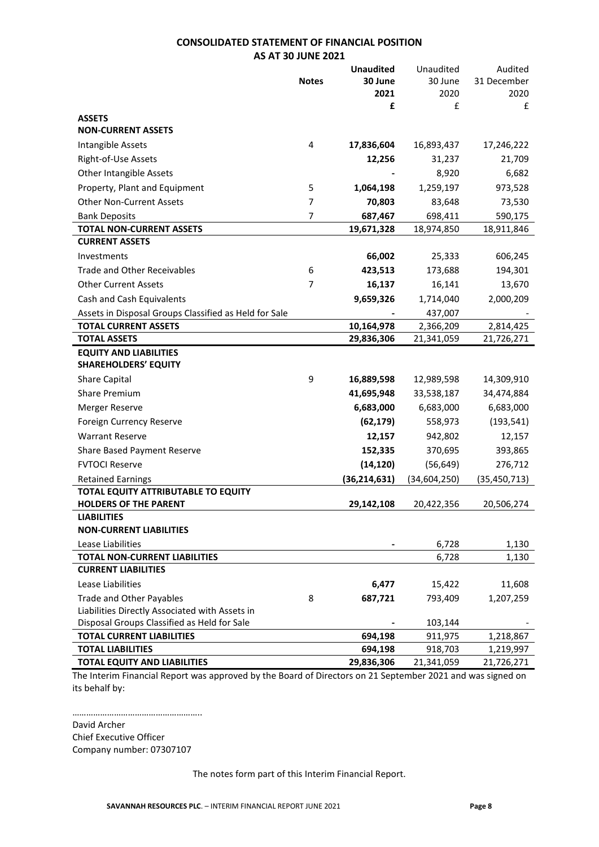### **CONSOLIDATED STATEMENT OF FINANCIAL POSITION AS AT 30 JUNE 2021**

| 30 June<br>30 June<br>31 December<br><b>Notes</b><br>2021<br>2020<br>2020<br>£<br>£<br>£<br><b>ASSETS</b><br><b>NON-CURRENT ASSETS</b><br>4<br>Intangible Assets<br>17,836,604<br>16,893,437<br>17,246,222<br>Right-of-Use Assets<br>12,256<br>31,237<br>21,709<br>Other Intangible Assets<br>8,920<br>6,682<br>Property, Plant and Equipment<br>1,259,197<br>973,528<br>5<br>1,064,198<br><b>Other Non-Current Assets</b><br>$\overline{7}$<br>70,803<br>83,648<br>73,530<br>$\overline{7}$<br>687,467<br>698,411<br><b>Bank Deposits</b><br>590,175<br><b>TOTAL NON-CURRENT ASSETS</b><br>19,671,328<br>18,974,850<br>18,911,846<br><b>CURRENT ASSETS</b><br>66,002<br>25,333<br>606,245<br>Investments<br><b>Trade and Other Receivables</b><br>6<br>423,513<br>173,688<br>194,301<br><b>Other Current Assets</b><br>7<br>16,137<br>16,141<br>13,670<br>Cash and Cash Equivalents<br>9,659,326<br>1,714,040<br>2,000,209<br>Assets in Disposal Groups Classified as Held for Sale<br>437,007<br><b>TOTAL CURRENT ASSETS</b><br>10,164,978<br>2,366,209<br>2,814,425<br><b>TOTAL ASSETS</b><br>29,836,306<br>21,341,059<br>21,726,271<br><b>EQUITY AND LIABILITIES</b><br><b>SHAREHOLDERS' EQUITY</b><br>9<br><b>Share Capital</b><br>16,889,598<br>12,989,598<br>14,309,910<br><b>Share Premium</b><br>41,695,948<br>33,538,187<br>34,474,884<br>Merger Reserve<br>6,683,000<br>6,683,000<br>6,683,000<br>(62, 179)<br>Foreign Currency Reserve<br>558,973<br>(193, 541)<br><b>Warrant Reserve</b><br>12,157<br>942,802<br>12,157<br>152,335<br>370,695<br>Share Based Payment Reserve<br>393,865 |
|------------------------------------------------------------------------------------------------------------------------------------------------------------------------------------------------------------------------------------------------------------------------------------------------------------------------------------------------------------------------------------------------------------------------------------------------------------------------------------------------------------------------------------------------------------------------------------------------------------------------------------------------------------------------------------------------------------------------------------------------------------------------------------------------------------------------------------------------------------------------------------------------------------------------------------------------------------------------------------------------------------------------------------------------------------------------------------------------------------------------------------------------------------------------------------------------------------------------------------------------------------------------------------------------------------------------------------------------------------------------------------------------------------------------------------------------------------------------------------------------------------------------------------------------------------------------------------------------------|
|                                                                                                                                                                                                                                                                                                                                                                                                                                                                                                                                                                                                                                                                                                                                                                                                                                                                                                                                                                                                                                                                                                                                                                                                                                                                                                                                                                                                                                                                                                                                                                                                      |
|                                                                                                                                                                                                                                                                                                                                                                                                                                                                                                                                                                                                                                                                                                                                                                                                                                                                                                                                                                                                                                                                                                                                                                                                                                                                                                                                                                                                                                                                                                                                                                                                      |
|                                                                                                                                                                                                                                                                                                                                                                                                                                                                                                                                                                                                                                                                                                                                                                                                                                                                                                                                                                                                                                                                                                                                                                                                                                                                                                                                                                                                                                                                                                                                                                                                      |
|                                                                                                                                                                                                                                                                                                                                                                                                                                                                                                                                                                                                                                                                                                                                                                                                                                                                                                                                                                                                                                                                                                                                                                                                                                                                                                                                                                                                                                                                                                                                                                                                      |
|                                                                                                                                                                                                                                                                                                                                                                                                                                                                                                                                                                                                                                                                                                                                                                                                                                                                                                                                                                                                                                                                                                                                                                                                                                                                                                                                                                                                                                                                                                                                                                                                      |
|                                                                                                                                                                                                                                                                                                                                                                                                                                                                                                                                                                                                                                                                                                                                                                                                                                                                                                                                                                                                                                                                                                                                                                                                                                                                                                                                                                                                                                                                                                                                                                                                      |
|                                                                                                                                                                                                                                                                                                                                                                                                                                                                                                                                                                                                                                                                                                                                                                                                                                                                                                                                                                                                                                                                                                                                                                                                                                                                                                                                                                                                                                                                                                                                                                                                      |
|                                                                                                                                                                                                                                                                                                                                                                                                                                                                                                                                                                                                                                                                                                                                                                                                                                                                                                                                                                                                                                                                                                                                                                                                                                                                                                                                                                                                                                                                                                                                                                                                      |
|                                                                                                                                                                                                                                                                                                                                                                                                                                                                                                                                                                                                                                                                                                                                                                                                                                                                                                                                                                                                                                                                                                                                                                                                                                                                                                                                                                                                                                                                                                                                                                                                      |
|                                                                                                                                                                                                                                                                                                                                                                                                                                                                                                                                                                                                                                                                                                                                                                                                                                                                                                                                                                                                                                                                                                                                                                                                                                                                                                                                                                                                                                                                                                                                                                                                      |
|                                                                                                                                                                                                                                                                                                                                                                                                                                                                                                                                                                                                                                                                                                                                                                                                                                                                                                                                                                                                                                                                                                                                                                                                                                                                                                                                                                                                                                                                                                                                                                                                      |
|                                                                                                                                                                                                                                                                                                                                                                                                                                                                                                                                                                                                                                                                                                                                                                                                                                                                                                                                                                                                                                                                                                                                                                                                                                                                                                                                                                                                                                                                                                                                                                                                      |
|                                                                                                                                                                                                                                                                                                                                                                                                                                                                                                                                                                                                                                                                                                                                                                                                                                                                                                                                                                                                                                                                                                                                                                                                                                                                                                                                                                                                                                                                                                                                                                                                      |
|                                                                                                                                                                                                                                                                                                                                                                                                                                                                                                                                                                                                                                                                                                                                                                                                                                                                                                                                                                                                                                                                                                                                                                                                                                                                                                                                                                                                                                                                                                                                                                                                      |
|                                                                                                                                                                                                                                                                                                                                                                                                                                                                                                                                                                                                                                                                                                                                                                                                                                                                                                                                                                                                                                                                                                                                                                                                                                                                                                                                                                                                                                                                                                                                                                                                      |
|                                                                                                                                                                                                                                                                                                                                                                                                                                                                                                                                                                                                                                                                                                                                                                                                                                                                                                                                                                                                                                                                                                                                                                                                                                                                                                                                                                                                                                                                                                                                                                                                      |
|                                                                                                                                                                                                                                                                                                                                                                                                                                                                                                                                                                                                                                                                                                                                                                                                                                                                                                                                                                                                                                                                                                                                                                                                                                                                                                                                                                                                                                                                                                                                                                                                      |
|                                                                                                                                                                                                                                                                                                                                                                                                                                                                                                                                                                                                                                                                                                                                                                                                                                                                                                                                                                                                                                                                                                                                                                                                                                                                                                                                                                                                                                                                                                                                                                                                      |
|                                                                                                                                                                                                                                                                                                                                                                                                                                                                                                                                                                                                                                                                                                                                                                                                                                                                                                                                                                                                                                                                                                                                                                                                                                                                                                                                                                                                                                                                                                                                                                                                      |
|                                                                                                                                                                                                                                                                                                                                                                                                                                                                                                                                                                                                                                                                                                                                                                                                                                                                                                                                                                                                                                                                                                                                                                                                                                                                                                                                                                                                                                                                                                                                                                                                      |
|                                                                                                                                                                                                                                                                                                                                                                                                                                                                                                                                                                                                                                                                                                                                                                                                                                                                                                                                                                                                                                                                                                                                                                                                                                                                                                                                                                                                                                                                                                                                                                                                      |
|                                                                                                                                                                                                                                                                                                                                                                                                                                                                                                                                                                                                                                                                                                                                                                                                                                                                                                                                                                                                                                                                                                                                                                                                                                                                                                                                                                                                                                                                                                                                                                                                      |
|                                                                                                                                                                                                                                                                                                                                                                                                                                                                                                                                                                                                                                                                                                                                                                                                                                                                                                                                                                                                                                                                                                                                                                                                                                                                                                                                                                                                                                                                                                                                                                                                      |
|                                                                                                                                                                                                                                                                                                                                                                                                                                                                                                                                                                                                                                                                                                                                                                                                                                                                                                                                                                                                                                                                                                                                                                                                                                                                                                                                                                                                                                                                                                                                                                                                      |
|                                                                                                                                                                                                                                                                                                                                                                                                                                                                                                                                                                                                                                                                                                                                                                                                                                                                                                                                                                                                                                                                                                                                                                                                                                                                                                                                                                                                                                                                                                                                                                                                      |
|                                                                                                                                                                                                                                                                                                                                                                                                                                                                                                                                                                                                                                                                                                                                                                                                                                                                                                                                                                                                                                                                                                                                                                                                                                                                                                                                                                                                                                                                                                                                                                                                      |
|                                                                                                                                                                                                                                                                                                                                                                                                                                                                                                                                                                                                                                                                                                                                                                                                                                                                                                                                                                                                                                                                                                                                                                                                                                                                                                                                                                                                                                                                                                                                                                                                      |
|                                                                                                                                                                                                                                                                                                                                                                                                                                                                                                                                                                                                                                                                                                                                                                                                                                                                                                                                                                                                                                                                                                                                                                                                                                                                                                                                                                                                                                                                                                                                                                                                      |
| <b>FVTOCI Reserve</b><br>(14, 120)<br>(56, 649)<br>276,712                                                                                                                                                                                                                                                                                                                                                                                                                                                                                                                                                                                                                                                                                                                                                                                                                                                                                                                                                                                                                                                                                                                                                                                                                                                                                                                                                                                                                                                                                                                                           |
| (34, 604, 250)<br><b>Retained Earnings</b><br>(36, 214, 631)<br>(35, 450, 713)                                                                                                                                                                                                                                                                                                                                                                                                                                                                                                                                                                                                                                                                                                                                                                                                                                                                                                                                                                                                                                                                                                                                                                                                                                                                                                                                                                                                                                                                                                                       |
| TOTAL EQUITY ATTRIBUTABLE TO EQUITY                                                                                                                                                                                                                                                                                                                                                                                                                                                                                                                                                                                                                                                                                                                                                                                                                                                                                                                                                                                                                                                                                                                                                                                                                                                                                                                                                                                                                                                                                                                                                                  |
| <b>HOLDERS OF THE PARENT</b><br>29,142,108<br>20,422,356<br>20,506,274                                                                                                                                                                                                                                                                                                                                                                                                                                                                                                                                                                                                                                                                                                                                                                                                                                                                                                                                                                                                                                                                                                                                                                                                                                                                                                                                                                                                                                                                                                                               |
| <b>LIABILITIES</b>                                                                                                                                                                                                                                                                                                                                                                                                                                                                                                                                                                                                                                                                                                                                                                                                                                                                                                                                                                                                                                                                                                                                                                                                                                                                                                                                                                                                                                                                                                                                                                                   |
| <b>NON-CURRENT LIABILITIES</b>                                                                                                                                                                                                                                                                                                                                                                                                                                                                                                                                                                                                                                                                                                                                                                                                                                                                                                                                                                                                                                                                                                                                                                                                                                                                                                                                                                                                                                                                                                                                                                       |
| Lease Liabilities<br>6,728<br>1,130<br><b>TOTAL NON-CURRENT LIABILITIES</b><br>6,728<br>1,130                                                                                                                                                                                                                                                                                                                                                                                                                                                                                                                                                                                                                                                                                                                                                                                                                                                                                                                                                                                                                                                                                                                                                                                                                                                                                                                                                                                                                                                                                                        |
| <b>CURRENT LIABILITIES</b>                                                                                                                                                                                                                                                                                                                                                                                                                                                                                                                                                                                                                                                                                                                                                                                                                                                                                                                                                                                                                                                                                                                                                                                                                                                                                                                                                                                                                                                                                                                                                                           |
| Lease Liabilities<br>6,477<br>15,422<br>11,608                                                                                                                                                                                                                                                                                                                                                                                                                                                                                                                                                                                                                                                                                                                                                                                                                                                                                                                                                                                                                                                                                                                                                                                                                                                                                                                                                                                                                                                                                                                                                       |
| <b>Trade and Other Payables</b>                                                                                                                                                                                                                                                                                                                                                                                                                                                                                                                                                                                                                                                                                                                                                                                                                                                                                                                                                                                                                                                                                                                                                                                                                                                                                                                                                                                                                                                                                                                                                                      |
| 8<br>687,721<br>793,409<br>1,207,259<br>Liabilities Directly Associated with Assets in                                                                                                                                                                                                                                                                                                                                                                                                                                                                                                                                                                                                                                                                                                                                                                                                                                                                                                                                                                                                                                                                                                                                                                                                                                                                                                                                                                                                                                                                                                               |
| Disposal Groups Classified as Held for Sale<br>103,144                                                                                                                                                                                                                                                                                                                                                                                                                                                                                                                                                                                                                                                                                                                                                                                                                                                                                                                                                                                                                                                                                                                                                                                                                                                                                                                                                                                                                                                                                                                                               |
| <b>TOTAL CURRENT LIABILITIES</b><br>694,198<br>1,218,867<br>911,975                                                                                                                                                                                                                                                                                                                                                                                                                                                                                                                                                                                                                                                                                                                                                                                                                                                                                                                                                                                                                                                                                                                                                                                                                                                                                                                                                                                                                                                                                                                                  |
| <b>TOTAL LIABILITIES</b><br>918,703<br>694,198<br>1,219,997                                                                                                                                                                                                                                                                                                                                                                                                                                                                                                                                                                                                                                                                                                                                                                                                                                                                                                                                                                                                                                                                                                                                                                                                                                                                                                                                                                                                                                                                                                                                          |
| <b>TOTAL EQUITY AND LIABILITIES</b><br>29,836,306<br>21,341,059<br>21,726,271                                                                                                                                                                                                                                                                                                                                                                                                                                                                                                                                                                                                                                                                                                                                                                                                                                                                                                                                                                                                                                                                                                                                                                                                                                                                                                                                                                                                                                                                                                                        |

The Interim Financial Report was approved by the Board of Directors on 21 September 2021 and was signed on its behalf by:

……………………………………………….. David Archer Chief Executive Officer Company number: 07307107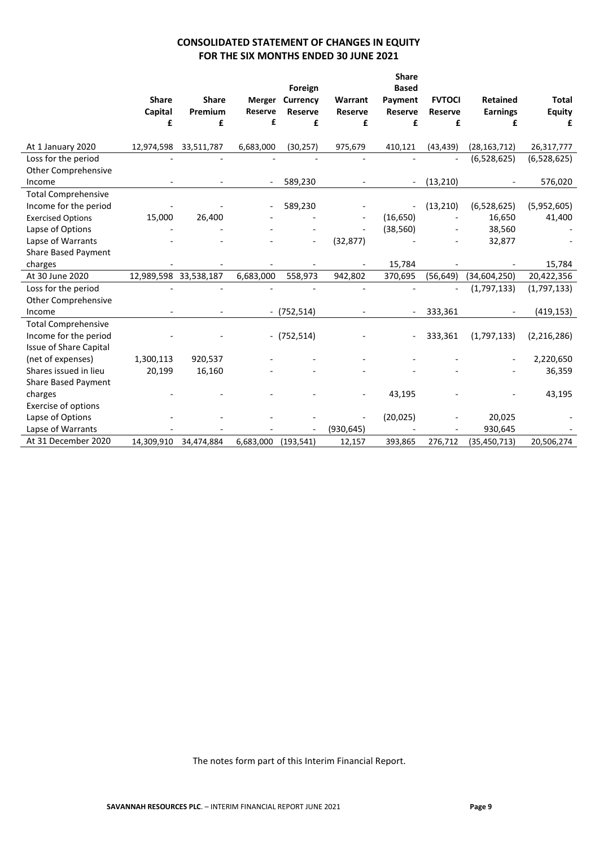# **CONSOLIDATED STATEMENT OF CHANGES IN EQUITY FOR THE SIX MONTHS ENDED 30 JUNE 2021**

|                                                     |                       |              |                |                |                | <b>Share</b>   |                |                 |               |
|-----------------------------------------------------|-----------------------|--------------|----------------|----------------|----------------|----------------|----------------|-----------------|---------------|
|                                                     |                       |              |                | Foreign        |                | <b>Based</b>   |                |                 |               |
|                                                     | <b>Share</b>          | <b>Share</b> | Merger         | Currency       | Warrant        | Payment        | <b>FVTOCI</b>  | <b>Retained</b> | <b>Total</b>  |
|                                                     | Capital               | Premium      | <b>Reserve</b> | <b>Reserve</b> | <b>Reserve</b> | <b>Reserve</b> | Reserve        | <b>Earnings</b> | <b>Equity</b> |
|                                                     | £                     | £            | £              | £              | £              | £              | £              | £               | £             |
| At 1 January 2020                                   | 12,974,598            | 33,511,787   | 6,683,000      | (30, 257)      | 975,679        | 410,121        | (43, 439)      | (28, 163, 712)  | 26,317,777    |
| Loss for the period                                 |                       |              |                |                |                |                | $\overline{a}$ | (6,528,625)     | (6,528,625)   |
| <b>Other Comprehensive</b>                          |                       |              |                |                |                |                |                |                 |               |
| Income                                              |                       |              |                | 589,230        |                |                | (13, 210)      |                 | 576,020       |
|                                                     |                       |              |                |                |                |                |                |                 |               |
| <b>Total Comprehensive</b><br>Income for the period |                       |              |                | 589,230        |                |                | (13, 210)      | (6,528,625)     | (5,952,605)   |
|                                                     |                       |              |                |                |                |                |                |                 |               |
| <b>Exercised Options</b>                            | 15,000                | 26,400       |                |                |                | (16, 650)      |                | 16,650          | 41,400        |
| Lapse of Options                                    |                       |              |                |                |                | (38, 560)      |                | 38,560          |               |
| Lapse of Warrants                                   |                       |              |                |                | (32, 877)      |                |                | 32,877          |               |
| Share Based Payment                                 |                       |              |                |                |                |                |                |                 |               |
| charges                                             |                       |              |                |                |                | 15,784         |                |                 | 15,784        |
| At 30 June 2020                                     | 12,989,598 33,538,187 |              | 6,683,000      | 558,973        | 942,802        | 370,695        | (56, 649)      | (34,604,250)    | 20,422,356    |
| Loss for the period                                 |                       |              |                |                |                |                | $\overline{a}$ | (1,797,133)     | (1,797,133)   |
| <b>Other Comprehensive</b>                          |                       |              |                |                |                |                |                |                 |               |
| Income                                              |                       |              |                | $-$ (752,514)  |                |                | 333,361        |                 | (419, 153)    |
| <b>Total Comprehensive</b>                          |                       |              |                |                |                |                |                |                 |               |
| Income for the period                               |                       |              |                | $-$ (752,514)  |                |                | 333,361        | (1,797,133)     | (2, 216, 286) |
| <b>Issue of Share Capital</b>                       |                       |              |                |                |                |                |                |                 |               |
| (net of expenses)                                   | 1,300,113             | 920,537      |                |                |                |                |                |                 | 2,220,650     |
| Shares issued in lieu                               | 20,199                | 16,160       |                |                |                |                |                |                 | 36,359        |
| Share Based Payment                                 |                       |              |                |                |                |                |                |                 |               |
| charges                                             |                       |              |                |                |                | 43,195         |                |                 | 43,195        |
| <b>Exercise of options</b>                          |                       |              |                |                |                |                |                |                 |               |
| Lapse of Options                                    |                       |              |                |                |                | (20, 025)      |                | 20,025          |               |
| Lapse of Warrants                                   |                       |              |                |                | (930, 645)     |                |                | 930,645         |               |
| At 31 December 2020                                 | 14,309,910            | 34,474,884   | 6,683,000      | (193, 541)     | 12,157         | 393,865        | 276,712        | (35, 450, 713)  | 20,506,274    |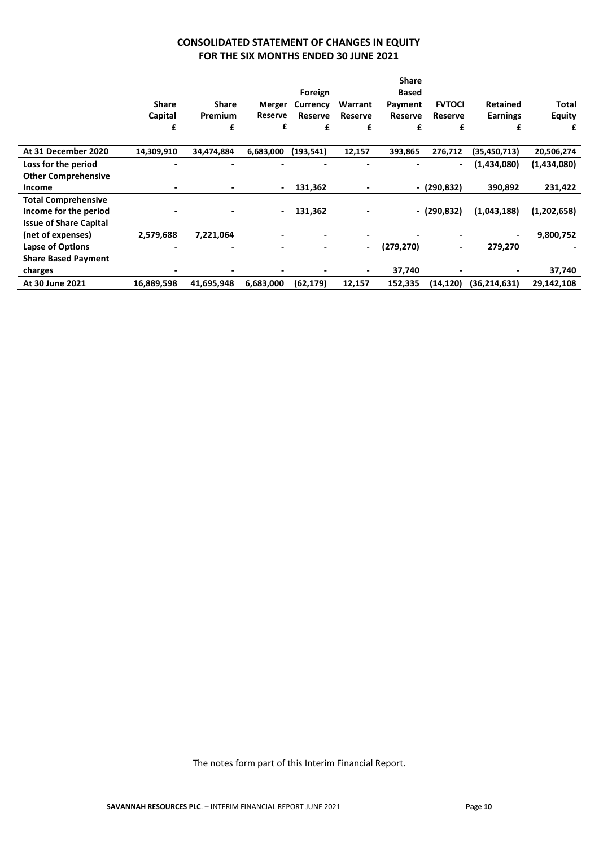# **CONSOLIDATED STATEMENT OF CHANGES IN EQUITY FOR THE SIX MONTHS ENDED 30 JUNE 2021**

|                               |              |                |                |                 |                              | <b>Share</b>   |                          |                 |               |
|-------------------------------|--------------|----------------|----------------|-----------------|------------------------------|----------------|--------------------------|-----------------|---------------|
|                               |              |                |                | Foreign         |                              | Based          |                          |                 |               |
|                               | <b>Share</b> | <b>Share</b>   | Merger         | <b>Currency</b> | Warrant                      | Payment        | <b>FVTOCI</b>            | <b>Retained</b> | Total         |
|                               | Capital      | Premium        | Reserve        | Reserve         | Reserve                      | <b>Reserve</b> | <b>Reserve</b>           | <b>Earnings</b> | <b>Equity</b> |
|                               | £            | £              | £              | £               | £                            | £              | £                        | £               | £             |
| At 31 December 2020           | 14,309,910   | 34,474,884     | 6,683,000      | (193, 541)      | 12,157                       | 393,865        | 276,712                  | (35, 450, 713)  | 20,506,274    |
| Loss for the period           |              |                |                |                 |                              |                | $\overline{\phantom{a}}$ | (1,434,080)     | (1,434,080)   |
| <b>Other Comprehensive</b>    |              |                |                |                 |                              |                |                          |                 |               |
| <b>Income</b>                 |              |                | $\blacksquare$ | 131,362         | ٠                            |                | - (290,832)              | 390,892         | 231,422       |
| <b>Total Comprehensive</b>    |              |                |                |                 |                              |                |                          |                 |               |
| Income for the period         |              | $\blacksquare$ | $\blacksquare$ | 131,362         | $\qquad \qquad \blacksquare$ |                | $-(290,832)$             | (1,043,188)     | (1,202,658)   |
| <b>Issue of Share Capital</b> |              |                |                |                 |                              |                |                          |                 |               |
| (net of expenses)             | 2,579,688    | 7,221,064      |                |                 |                              |                |                          | $\blacksquare$  | 9,800,752     |
| Lapse of Options              |              |                |                |                 | $\overline{\phantom{a}}$     | (279, 270)     | $\overline{\phantom{0}}$ | 279,270         |               |
| <b>Share Based Payment</b>    |              |                |                |                 |                              |                |                          |                 |               |
| charges                       |              |                |                |                 | ۰.                           | 37,740         |                          | $\blacksquare$  | 37,740        |
| At 30 June 2021               | 16,889,598   | 41,695,948     | 6,683,000      | (62, 179)       | 12,157                       | 152,335        | (14, 120)                | (36, 214, 631)  | 29,142,108    |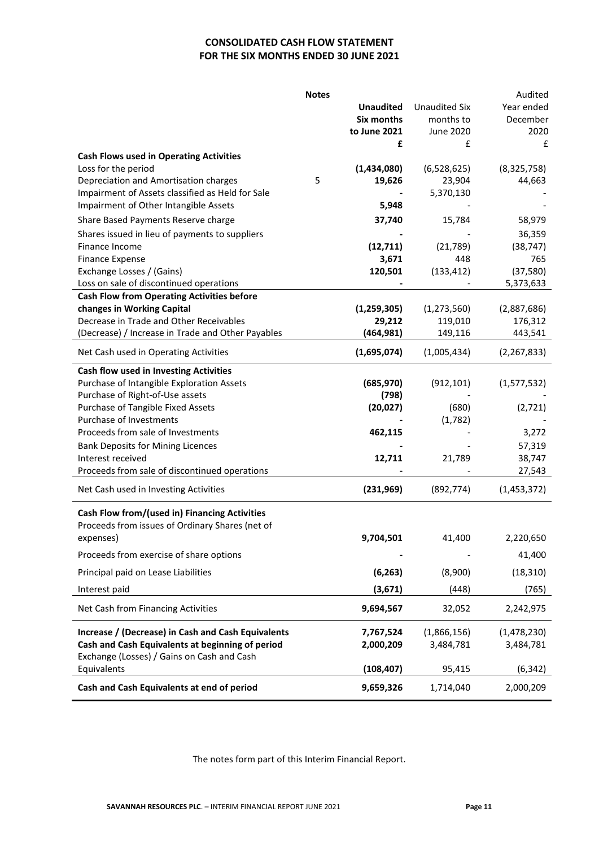# **CONSOLIDATED CASH FLOW STATEMENT FOR THE SIX MONTHS ENDED 30 JUNE 2021**

|                                                    | <b>Notes</b> |                  |                      | Audited       |
|----------------------------------------------------|--------------|------------------|----------------------|---------------|
|                                                    |              | <b>Unaudited</b> | <b>Unaudited Six</b> | Year ended    |
|                                                    |              | Six months       | months to            | December      |
|                                                    |              | to June 2021     | June 2020            | 2020          |
|                                                    |              | £                | £                    | £             |
| <b>Cash Flows used in Operating Activities</b>     |              |                  |                      |               |
| Loss for the period                                |              | (1,434,080)      | (6,528,625)          | (8,325,758)   |
| Depreciation and Amortisation charges              | 5            | 19,626           | 23,904               | 44,663        |
| Impairment of Assets classified as Held for Sale   |              |                  | 5,370,130            |               |
| Impairment of Other Intangible Assets              |              | 5,948            |                      |               |
| Share Based Payments Reserve charge                |              | 37,740           | 15,784               | 58,979        |
| Shares issued in lieu of payments to suppliers     |              |                  |                      | 36,359        |
| Finance Income                                     |              | (12, 711)        | (21,789)             | (38, 747)     |
| <b>Finance Expense</b>                             |              | 3,671            | 448                  | 765           |
| Exchange Losses / (Gains)                          |              | 120,501          | (133, 412)           | (37, 580)     |
| Loss on sale of discontinued operations            |              |                  |                      | 5,373,633     |
| <b>Cash Flow from Operating Activities before</b>  |              |                  |                      |               |
| changes in Working Capital                         |              | (1, 259, 305)    | (1, 273, 560)        | (2,887,686)   |
| Decrease in Trade and Other Receivables            |              | 29,212           | 119,010              | 176,312       |
| (Decrease) / Increase in Trade and Other Payables  |              | (464, 981)       | 149,116              | 443,541       |
| Net Cash used in Operating Activities              |              | (1,695,074)      | (1,005,434)          | (2, 267, 833) |
| <b>Cash flow used in Investing Activities</b>      |              |                  |                      |               |
| Purchase of Intangible Exploration Assets          |              | (685, 970)       | (912, 101)           | (1,577,532)   |
| Purchase of Right-of-Use assets                    |              | (798)            |                      |               |
| Purchase of Tangible Fixed Assets                  |              | (20, 027)        | (680)                | (2,721)       |
| Purchase of Investments                            |              |                  | (1,782)              |               |
| Proceeds from sale of Investments                  |              | 462,115          |                      | 3,272         |
| <b>Bank Deposits for Mining Licences</b>           |              |                  |                      | 57,319        |
| Interest received                                  |              | 12,711           | 21,789               | 38,747        |
| Proceeds from sale of discontinued operations      |              |                  |                      | 27,543        |
| Net Cash used in Investing Activities              |              | (231,969)        | (892, 774)           | (1,453,372)   |
| Cash Flow from/(used in) Financing Activities      |              |                  |                      |               |
| Proceeds from issues of Ordinary Shares (net of    |              |                  |                      |               |
| expenses)                                          |              | 9,704,501        | 41,400               | 2,220,650     |
| Proceeds from exercise of share options            |              |                  |                      | 41,400        |
| Principal paid on Lease Liabilities                |              | (6, 263)         | (8,900)              | (18, 310)     |
| Interest paid                                      |              | (3,671)          | (448)                | (765)         |
| Net Cash from Financing Activities                 |              | 9,694,567        | 32,052               | 2,242,975     |
| Increase / (Decrease) in Cash and Cash Equivalents |              | 7,767,524        | (1,866,156)          | (1,478,230)   |
| Cash and Cash Equivalents at beginning of period   |              | 2,000,209        | 3,484,781            | 3,484,781     |
| Exchange (Losses) / Gains on Cash and Cash         |              |                  |                      |               |
| Equivalents                                        |              | (108, 407)       | 95,415               | (6, 342)      |
| Cash and Cash Equivalents at end of period         |              | 9,659,326        | 1,714,040            | 2,000,209     |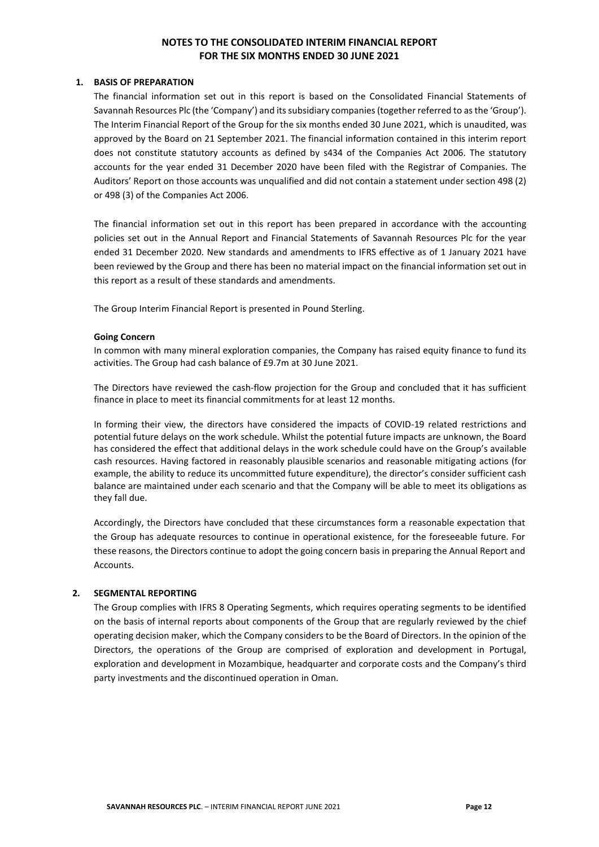#### **1. BASIS OF PREPARATION**

The financial information set out in this report is based on the Consolidated Financial Statements of Savannah Resources Plc (the 'Company') and its subsidiary companies (together referred to as the 'Group'). The Interim Financial Report of the Group for the six months ended 30 June 2021, which is unaudited, was approved by the Board on 21 September 2021. The financial information contained in this interim report does not constitute statutory accounts as defined by s434 of the Companies Act 2006. The statutory accounts for the year ended 31 December 2020 have been filed with the Registrar of Companies. The Auditors' Report on those accounts was unqualified and did not contain a statement under section 498 (2) or 498 (3) of the Companies Act 2006.

The financial information set out in this report has been prepared in accordance with the accounting policies set out in the Annual Report and Financial Statements of Savannah Resources Plc for the year ended 31 December 2020. New standards and amendments to IFRS effective as of 1 January 2021 have been reviewed by the Group and there has been no material impact on the financial information set out in this report as a result of these standards and amendments.

The Group Interim Financial Report is presented in Pound Sterling.

#### **Going Concern**

In common with many mineral exploration companies, the Company has raised equity finance to fund its activities. The Group had cash balance of £9.7m at 30 June 2021.

The Directors have reviewed the cash-flow projection for the Group and concluded that it has sufficient finance in place to meet its financial commitments for at least 12 months.

In forming their view, the directors have considered the impacts of COVID-19 related restrictions and potential future delays on the work schedule. Whilst the potential future impacts are unknown, the Board has considered the effect that additional delays in the work schedule could have on the Group's available cash resources. Having factored in reasonably plausible scenarios and reasonable mitigating actions (for example, the ability to reduce its uncommitted future expenditure), the director's consider sufficient cash balance are maintained under each scenario and that the Company will be able to meet its obligations as they fall due.

Accordingly, the Directors have concluded that these circumstances form a reasonable expectation that the Group has adequate resources to continue in operational existence, for the foreseeable future. For these reasons, the Directors continue to adopt the going concern basis in preparing the Annual Report and Accounts.

#### **2. SEGMENTAL REPORTING**

The Group complies with IFRS 8 Operating Segments, which requires operating segments to be identified on the basis of internal reports about components of the Group that are regularly reviewed by the chief operating decision maker, which the Company considers to be the Board of Directors. In the opinion of the Directors, the operations of the Group are comprised of exploration and development in Portugal, exploration and development in Mozambique, headquarter and corporate costs and the Company's third party investments and the discontinued operation in Oman.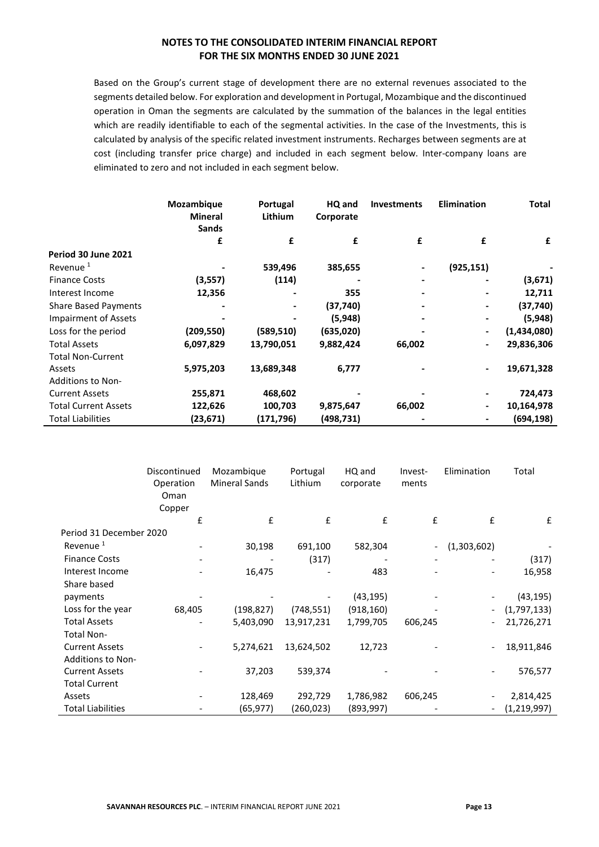Based on the Group's current stage of development there are no external revenues associated to the segments detailed below. For exploration and development in Portugal, Mozambique and the discontinued operation in Oman the segments are calculated by the summation of the balances in the legal entities which are readily identifiable to each of the segmental activities. In the case of the Investments, this is calculated by analysis of the specific related investment instruments. Recharges between segments are at cost (including transfer price charge) and included in each segment below. Inter-company loans are eliminated to zero and not included in each segment below.

|                             | Mozambique<br><b>Mineral</b><br><b>Sands</b> | Portugal<br><b>Lithium</b> | HQ and<br>Corporate | <b>Investments</b> | <b>Elimination</b> | Total       |
|-----------------------------|----------------------------------------------|----------------------------|---------------------|--------------------|--------------------|-------------|
|                             | £                                            | £                          | £                   | £                  | £                  | £           |
| Period 30 June 2021         |                                              |                            |                     |                    |                    |             |
| Revenue <sup>1</sup>        |                                              | 539,496                    | 385,655             |                    | (925, 151)         |             |
| <b>Finance Costs</b>        | (3,557)                                      | (114)                      |                     |                    |                    | (3,671)     |
| Interest Income             | 12,356                                       |                            | 355                 |                    |                    | 12,711      |
| <b>Share Based Payments</b> |                                              |                            | (37, 740)           |                    |                    | (37, 740)   |
| <b>Impairment of Assets</b> |                                              |                            | (5,948)             |                    |                    | (5,948)     |
| Loss for the period         | (209, 550)                                   | (589, 510)                 | (635,020)           |                    |                    | (1,434,080) |
| <b>Total Assets</b>         | 6,097,829                                    | 13,790,051                 | 9,882,424           | 66,002             |                    | 29,836,306  |
| <b>Total Non-Current</b>    |                                              |                            |                     |                    |                    |             |
| Assets                      | 5,975,203                                    | 13,689,348                 | 6,777               |                    |                    | 19,671,328  |
| <b>Additions to Non-</b>    |                                              |                            |                     |                    |                    |             |
| <b>Current Assets</b>       | 255,871                                      | 468,602                    |                     |                    |                    | 724,473     |
| <b>Total Current Assets</b> | 122,626                                      | 100,703                    | 9,875,647           | 66,002             |                    | 10,164,978  |
| <b>Total Liabilities</b>    | (23,671)                                     | (171,796)                  | (498,731)           |                    |                    | (694, 198)  |

|                          | Discontinued | Mozambique           | Portugal   | HQ and     | Invest- | Elimination              | Total       |
|--------------------------|--------------|----------------------|------------|------------|---------|--------------------------|-------------|
|                          | Operation    | <b>Mineral Sands</b> | Lithium    | corporate  | ments   |                          |             |
|                          | Oman         |                      |            |            |         |                          |             |
|                          | Copper       |                      |            |            |         |                          |             |
|                          | £            | £                    | £          | £          | £       | £                        | £           |
| Period 31 December 2020  |              |                      |            |            |         |                          |             |
| Revenue <sup>1</sup>     |              | 30,198               | 691,100    | 582,304    |         | (1,303,602)              |             |
| <b>Finance Costs</b>     |              |                      | (317)      |            |         |                          | (317)       |
| Interest Income          |              | 16,475               |            | 483        |         | $\overline{\phantom{a}}$ | 16,958      |
| Share based              |              |                      |            |            |         |                          |             |
| payments                 |              |                      |            | (43, 195)  |         |                          | (43, 195)   |
| Loss for the year        | 68,405       | (198, 827)           | (748, 551) | (918, 160) |         | $\overline{\phantom{a}}$ | (1,797,133) |
| <b>Total Assets</b>      |              | 5,403,090            | 13,917,231 | 1,799,705  | 606,245 | $\overline{\phantom{a}}$ | 21,726,271  |
| <b>Total Non-</b>        |              |                      |            |            |         |                          |             |
| <b>Current Assets</b>    |              | 5,274,621            | 13,624,502 | 12,723     |         | $\overline{\phantom{a}}$ | 18,911,846  |
| <b>Additions to Non-</b> |              |                      |            |            |         |                          |             |
| <b>Current Assets</b>    |              | 37,203               | 539,374    |            |         | $\overline{\phantom{a}}$ | 576,577     |
| <b>Total Current</b>     |              |                      |            |            |         |                          |             |
| Assets                   |              | 128,469              | 292,729    | 1,786,982  | 606,245 |                          | 2,814,425   |
| <b>Total Liabilities</b> |              | (65, 977)            | (260,023)  | (893, 997) |         | $\overline{\phantom{a}}$ | (1,219,997) |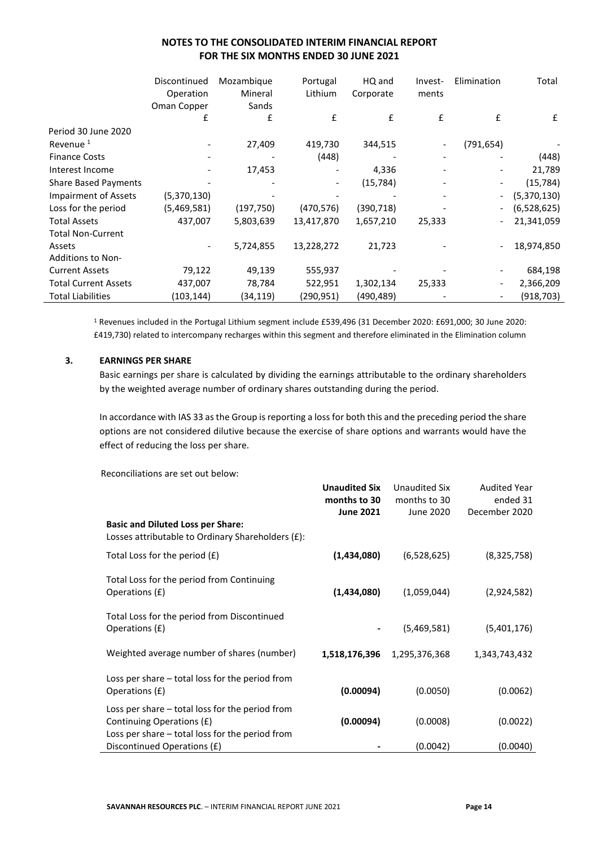|                             | Discontinued<br>Operation<br>Oman Copper | Mozambique<br>Mineral<br>Sands | Portugal<br>Lithium | HQ and<br>Corporate | Invest-<br>ments | Elimination | Total       |
|-----------------------------|------------------------------------------|--------------------------------|---------------------|---------------------|------------------|-------------|-------------|
|                             | £                                        | £                              | £                   | £                   | £                | £           | £           |
| Period 30 June 2020         |                                          |                                |                     |                     |                  |             |             |
| Revenue <sup>1</sup>        |                                          | 27,409                         | 419,730             | 344,515             |                  | (791, 654)  |             |
| <b>Finance Costs</b>        |                                          |                                | (448)               |                     |                  |             | (448)       |
| Interest Income             |                                          | 17,453                         |                     | 4,336               |                  |             | 21,789      |
| <b>Share Based Payments</b> |                                          |                                |                     | (15, 784)           |                  |             | (15, 784)   |
| <b>Impairment of Assets</b> | (5,370,130)                              |                                |                     |                     |                  |             | (5,370,130) |
| Loss for the period         | (5,469,581)                              | (197, 750)                     | (470, 576)          | (390, 718)          |                  |             | (6,528,625) |
| <b>Total Assets</b>         | 437,007                                  | 5,803,639                      | 13,417,870          | 1,657,210           | 25,333           |             | 21,341,059  |
| <b>Total Non-Current</b>    |                                          |                                |                     |                     |                  |             |             |
| Assets                      |                                          | 5,724,855                      | 13,228,272          | 21,723              |                  |             | 18,974,850  |
| Additions to Non-           |                                          |                                |                     |                     |                  |             |             |
| <b>Current Assets</b>       | 79,122                                   | 49,139                         | 555,937             |                     |                  |             | 684,198     |
| <b>Total Current Assets</b> | 437,007                                  | 78,784                         | 522,951             | 1,302,134           | 25,333           |             | 2,366,209   |
| <b>Total Liabilities</b>    | (103,144)                                | (34,119)                       | (290,951)           | (490, 489)          |                  |             | (918, 703)  |

<sup>1</sup> Revenues included in the Portugal Lithium segment include £539,496 (31 December 2020: £691,000; 30 June 2020: £419,730) related to intercompany recharges within this segment and therefore eliminated in the Elimination column

# **3. EARNINGS PER SHARE**

Basic earnings per share is calculated by dividing the earnings attributable to the ordinary shareholders by the weighted average number of ordinary shares outstanding during the period.

In accordance with IAS 33 as the Group is reporting a loss for both this and the preceding period the share options are not considered dilutive because the exercise of share options and warrants would have the effect of reducing the loss per share.

Reconciliations are set out below:

|                                                                                               | <b>Unaudited Six</b><br>months to 30 | Unaudited Six<br>months to 30 | <b>Audited Year</b><br>ended 31 |
|-----------------------------------------------------------------------------------------------|--------------------------------------|-------------------------------|---------------------------------|
|                                                                                               | <b>June 2021</b>                     | June 2020                     | December 2020                   |
| <b>Basic and Diluted Loss per Share:</b><br>Losses attributable to Ordinary Shareholders (£): |                                      |                               |                                 |
| Total Loss for the period $(f)$                                                               | (1,434,080)                          | (6,528,625)                   | (8,325,758)                     |
| Total Loss for the period from Continuing<br>Operations (£)                                   | (1,434,080)                          | (1,059,044)                   | (2,924,582)                     |
| Total Loss for the period from Discontinued<br>Operations (£)                                 |                                      | (5,469,581)                   | (5,401,176)                     |
| Weighted average number of shares (number)                                                    | 1,518,176,396                        | 1,295,376,368                 | 1,343,743,432                   |
| Loss per share – total loss for the period from<br>Operations (£)                             | (0.00094)                            | (0.0050)                      | (0.0062)                        |
| Loss per share $-$ total loss for the period from<br>Continuing Operations (£)                | (0.00094)                            | (0.0008)                      | (0.0022)                        |
| Loss per share $-$ total loss for the period from<br>Discontinued Operations (£)              |                                      | (0.0042)                      | (0.0040)                        |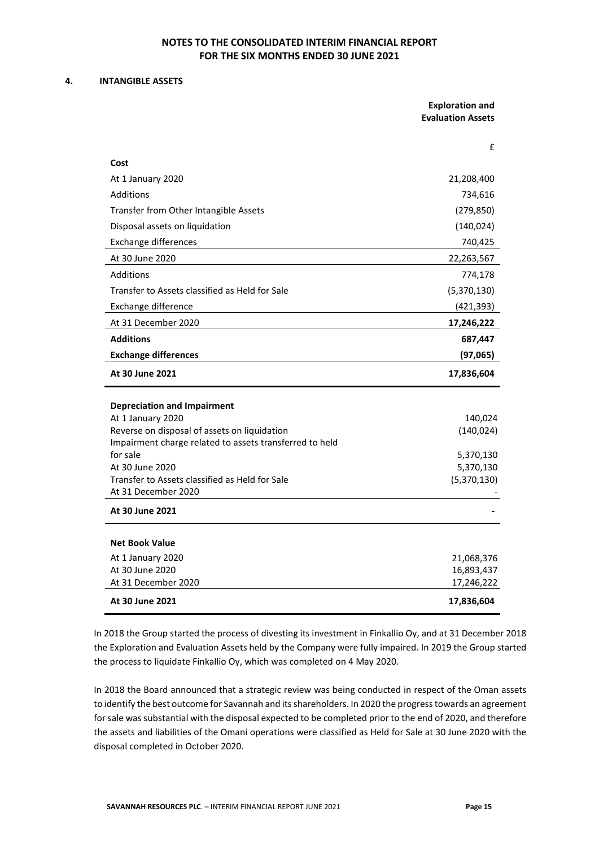#### **4. INTANGIBLE ASSETS**

J.

|                                                                       | <b>Exploration and</b><br><b>Evaluation Assets</b> |
|-----------------------------------------------------------------------|----------------------------------------------------|
|                                                                       |                                                    |
| Cost                                                                  | £                                                  |
| At 1 January 2020                                                     | 21,208,400                                         |
| <b>Additions</b>                                                      | 734,616                                            |
| Transfer from Other Intangible Assets                                 | (279, 850)                                         |
| Disposal assets on liquidation                                        | (140, 024)                                         |
| <b>Exchange differences</b>                                           | 740,425                                            |
| At 30 June 2020                                                       | 22,263,567                                         |
| Additions                                                             | 774,178                                            |
| Transfer to Assets classified as Held for Sale                        | (5,370,130)                                        |
| Exchange difference                                                   | (421, 393)                                         |
| At 31 December 2020                                                   | 17,246,222                                         |
| <b>Additions</b>                                                      | 687,447                                            |
| <b>Exchange differences</b>                                           | (97,065)                                           |
| At 30 June 2021                                                       | 17,836,604                                         |
|                                                                       |                                                    |
| <b>Depreciation and Impairment</b><br>At 1 January 2020               | 140,024                                            |
| Reverse on disposal of assets on liquidation                          | (140, 024)                                         |
| Impairment charge related to assets transferred to held               |                                                    |
| for sale                                                              | 5,370,130                                          |
| At 30 June 2020                                                       | 5,370,130                                          |
| Transfer to Assets classified as Held for Sale<br>At 31 December 2020 | (5,370,130)                                        |
| At 30 June 2021                                                       |                                                    |
|                                                                       |                                                    |
| <b>Net Book Value</b>                                                 |                                                    |
| At 1 January 2020                                                     | 21,068,376                                         |
| At 30 June 2020                                                       | 16,893,437                                         |
| At 31 December 2020                                                   | 17,246,222                                         |
| At 30 June 2021                                                       | 17,836,604                                         |

In 2018 the Group started the process of divesting its investment in Finkallio Oy, and at 31 December 2018 the Exploration and Evaluation Assets held by the Company were fully impaired. In 2019 the Group started the process to liquidate Finkallio Oy, which was completed on 4 May 2020.

In 2018 the Board announced that a strategic review was being conducted in respect of the Oman assets to identify the best outcome for Savannah and its shareholders. In 2020 the progress towards an agreement for sale was substantial with the disposal expected to be completed prior to the end of 2020, and therefore the assets and liabilities of the Omani operations were classified as Held for Sale at 30 June 2020 with the disposal completed in October 2020.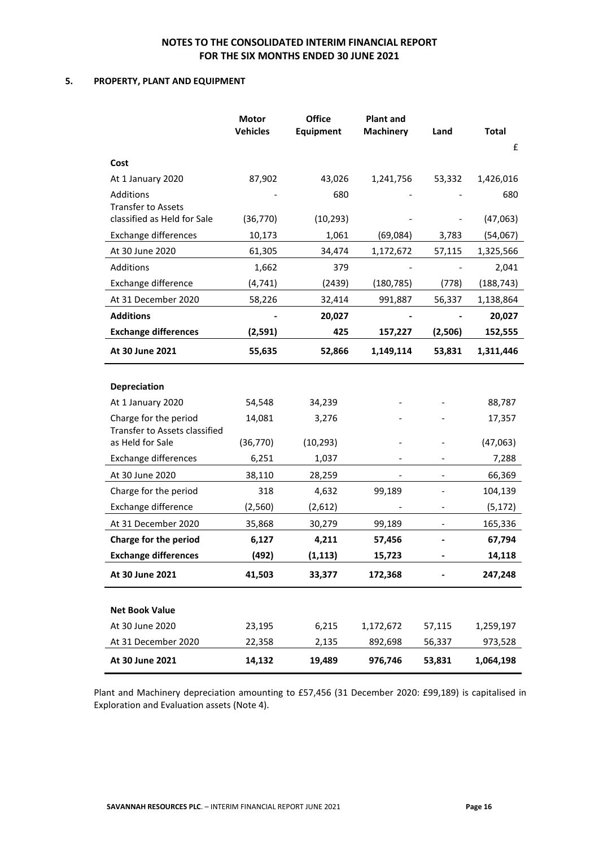### **5. PROPERTY, PLANT AND EQUIPMENT**

|                                                        | <b>Motor</b><br><b>Vehicles</b> | <b>Office</b><br><b>Equipment</b> | <b>Plant and</b><br><b>Machinery</b> | Land                         | <b>Total</b> |
|--------------------------------------------------------|---------------------------------|-----------------------------------|--------------------------------------|------------------------------|--------------|
|                                                        |                                 |                                   |                                      |                              | £            |
| Cost                                                   |                                 |                                   |                                      |                              |              |
| At 1 January 2020                                      | 87,902                          | 43,026                            | 1,241,756                            | 53,332                       | 1,426,016    |
| Additions                                              |                                 | 680                               |                                      |                              | 680          |
| <b>Transfer to Assets</b>                              |                                 |                                   |                                      |                              |              |
| classified as Held for Sale                            | (36, 770)                       | (10, 293)                         |                                      |                              | (47,063)     |
| <b>Exchange differences</b>                            | 10,173                          | 1,061                             | (69,084)                             | 3,783                        | (54,067)     |
| At 30 June 2020                                        | 61,305                          | 34,474                            | 1,172,672                            | 57,115                       | 1,325,566    |
| Additions                                              | 1,662                           | 379                               |                                      |                              | 2,041        |
| Exchange difference                                    | (4, 741)                        | (2439)                            | (180, 785)                           | (778)                        | (188, 743)   |
| At 31 December 2020                                    | 58,226                          | 32,414                            | 991,887                              | 56,337                       | 1,138,864    |
| <b>Additions</b>                                       |                                 | 20,027                            |                                      |                              | 20,027       |
| <b>Exchange differences</b>                            | (2,591)                         | 425                               | 157,227                              | (2,506)                      | 152,555      |
| At 30 June 2021                                        | 55,635                          | 52,866                            | 1,149,114                            | 53,831                       | 1,311,446    |
|                                                        |                                 |                                   |                                      |                              |              |
| <b>Depreciation</b>                                    |                                 |                                   |                                      |                              |              |
| At 1 January 2020                                      | 54,548                          | 34,239                            |                                      |                              | 88,787       |
| Charge for the period<br>Transfer to Assets classified | 14,081                          | 3,276                             |                                      |                              | 17,357       |
| as Held for Sale                                       | (36, 770)                       | (10, 293)                         |                                      |                              | (47,063)     |
| <b>Exchange differences</b>                            | 6,251                           | 1,037                             |                                      |                              | 7,288        |
| At 30 June 2020                                        | 38,110                          | 28,259                            |                                      |                              | 66,369       |
| Charge for the period                                  | 318                             | 4,632                             | 99,189                               |                              | 104,139      |
| Exchange difference                                    | (2, 560)                        | (2,612)                           |                                      |                              | (5, 172)     |
| At 31 December 2020                                    | 35,868                          | 30,279                            | 99,189                               | $\qquad \qquad \blacksquare$ | 165,336      |
| Charge for the period                                  | 6,127                           | 4,211                             | 57,456                               |                              | 67,794       |
| <b>Exchange differences</b>                            | (492)                           | (1, 113)                          | 15,723                               |                              | 14,118       |
| At 30 June 2021                                        | 41,503                          | 33,377                            | 172,368                              |                              | 247,248      |
|                                                        |                                 |                                   |                                      |                              |              |
| <b>Net Book Value</b>                                  |                                 |                                   |                                      |                              |              |
| At 30 June 2020                                        | 23,195                          | 6,215                             | 1,172,672                            | 57,115                       | 1,259,197    |
| At 31 December 2020                                    | 22,358                          | 2,135                             | 892,698                              | 56,337                       | 973,528      |
| At 30 June 2021                                        | 14,132                          | 19,489                            | 976,746                              | 53,831                       | 1,064,198    |

Plant and Machinery depreciation amounting to £57,456 (31 December 2020: £99,189) is capitalised in Exploration and Evaluation assets (Note 4).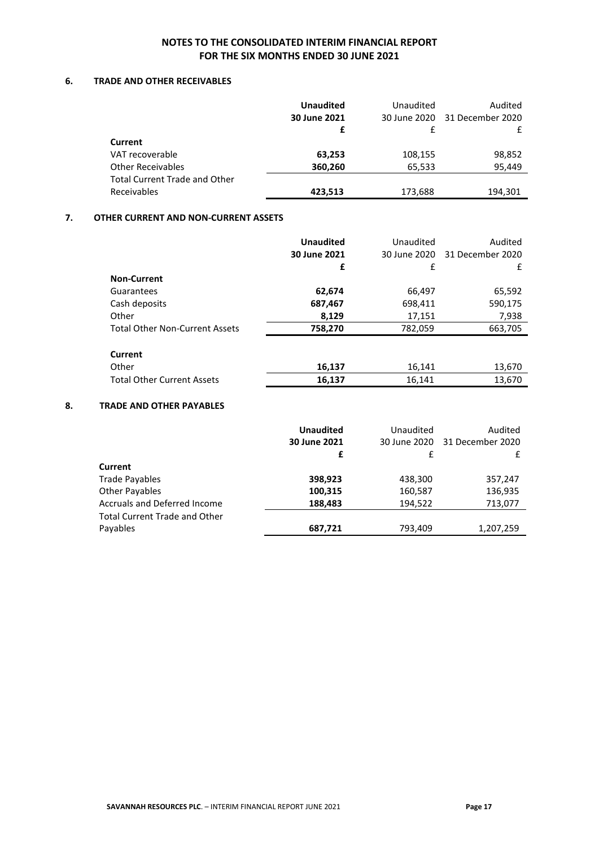### **6. TRADE AND OTHER RECEIVABLES**

|                                      | <b>Unaudited</b><br>30 June 2021 | Unaudited | Audited<br>30 June 2020 31 December 2020 |
|--------------------------------------|----------------------------------|-----------|------------------------------------------|
|                                      | £                                |           |                                          |
| Current                              |                                  |           |                                          |
| VAT recoverable                      | 63,253                           | 108,155   | 98,852                                   |
| <b>Other Receivables</b>             | 360,260                          | 65,533    | 95,449                                   |
| <b>Total Current Trade and Other</b> |                                  |           |                                          |
| Receivables                          | 423,513                          | 173,688   | 194,301                                  |

### **7. OTHER CURRENT AND NON-CURRENT ASSETS**

|                                       | <b>Unaudited</b> | Unaudited    | Audited          |
|---------------------------------------|------------------|--------------|------------------|
|                                       | 30 June 2021     | 30 June 2020 | 31 December 2020 |
|                                       | £                | £            | £                |
| <b>Non-Current</b>                    |                  |              |                  |
| Guarantees                            | 62,674           | 66,497       | 65,592           |
| Cash deposits                         | 687,467          | 698,411      | 590,175          |
| Other                                 | 8,129            | 17,151       | 7,938            |
| <b>Total Other Non-Current Assets</b> | 758,270          | 782,059      | 663,705          |
|                                       |                  |              |                  |
| Current                               |                  |              |                  |
| Other                                 | 16,137           | 16,141       | 13,670           |
| <b>Total Other Current Assets</b>     | 16,137           | 16,141       | 13,670           |

# **8. TRADE AND OTHER PAYABLES**

|                                      | <b>Unaudited</b><br>30 June 2021<br>£ | Unaudited<br>30 June 2020<br>f | Audited<br>31 December 2020<br>£ |
|--------------------------------------|---------------------------------------|--------------------------------|----------------------------------|
| Current                              |                                       |                                |                                  |
| <b>Trade Payables</b>                | 398,923                               | 438,300                        | 357,247                          |
| <b>Other Payables</b>                | 100,315                               | 160,587                        | 136,935                          |
| <b>Accruals and Deferred Income</b>  | 188,483                               | 194,522                        | 713,077                          |
| <b>Total Current Trade and Other</b> |                                       |                                |                                  |
| Payables                             | 687,721                               | 793,409                        | 1,207,259                        |